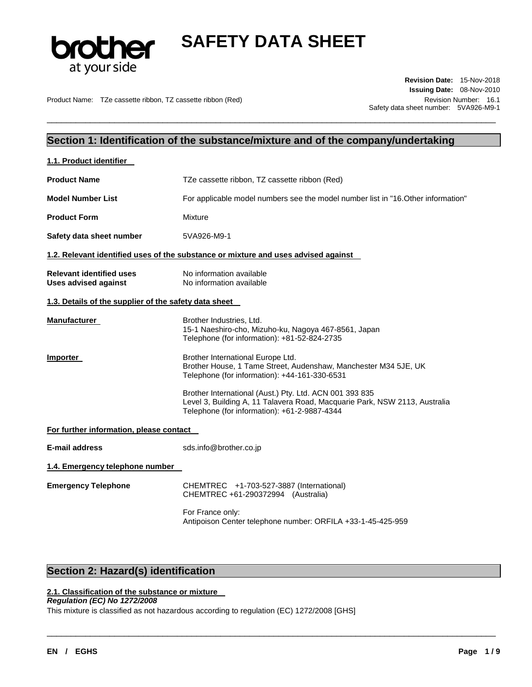

\_\_\_\_\_\_\_\_\_\_\_\_\_\_\_\_\_\_\_\_\_\_\_\_\_\_\_\_\_\_\_\_\_\_\_\_\_\_\_\_\_\_\_\_\_\_\_\_\_\_\_\_\_\_\_\_\_\_\_\_\_\_\_\_\_\_\_\_\_\_\_\_\_\_\_\_\_\_\_\_\_\_\_\_\_\_\_\_\_\_\_\_\_

Product Name: TZe cassette ribbon, TZ cassette ribbon (Red) Revision Number: 16.1

**Revision Date:** 15-Nov-2018 **Issuing Date:** 08-Nov-2010 Safety data sheet number: 5VA926-M9-1

## **Section 1: Identification of the substance/mixture and of the company/undertaking**

| 1.1. Product identifier                                        |                                                                                                                                                                                       |  |
|----------------------------------------------------------------|---------------------------------------------------------------------------------------------------------------------------------------------------------------------------------------|--|
| <b>Product Name</b>                                            | TZe cassette ribbon, TZ cassette ribbon (Red)                                                                                                                                         |  |
| <b>Model Number List</b>                                       | For applicable model numbers see the model number list in "16. Other information"                                                                                                     |  |
| <b>Product Form</b>                                            | Mixture                                                                                                                                                                               |  |
| Safety data sheet number                                       | 5VA926-M9-1                                                                                                                                                                           |  |
|                                                                | 1.2. Relevant identified uses of the substance or mixture and uses advised against                                                                                                    |  |
| <b>Relevant identified uses</b><br><b>Uses advised against</b> | No information available<br>No information available                                                                                                                                  |  |
| 1.3. Details of the supplier of the safety data sheet          |                                                                                                                                                                                       |  |
| Manufacturer                                                   | Brother Industries, Ltd.<br>15-1 Naeshiro-cho, Mizuho-ku, Nagoya 467-8561, Japan<br>Telephone (for information): +81-52-824-2735                                                      |  |
| <b>Importer</b>                                                | Brother International Europe Ltd.<br>Brother House, 1 Tame Street, Audenshaw, Manchester M34 5JE, UK<br>Telephone (for information): +44-161-330-6531                                 |  |
|                                                                | Brother International (Aust.) Pty. Ltd. ACN 001 393 835<br>Level 3, Building A, 11 Talavera Road, Macquarie Park, NSW 2113, Australia<br>Telephone (for information): +61-2-9887-4344 |  |
| For further information, please contact                        |                                                                                                                                                                                       |  |
| <b>E-mail address</b>                                          | sds.info@brother.co.jp                                                                                                                                                                |  |
| 1.4. Emergency telephone number                                |                                                                                                                                                                                       |  |
| <b>Emergency Telephone</b>                                     | CHEMTREC +1-703-527-3887 (International)<br>CHEMTREC +61-290372994 (Australia)                                                                                                        |  |
|                                                                | For France only:<br>Antipoison Center telephone number: ORFILA +33-1-45-425-959                                                                                                       |  |

\_\_\_\_\_\_\_\_\_\_\_\_\_\_\_\_\_\_\_\_\_\_\_\_\_\_\_\_\_\_\_\_\_\_\_\_\_\_\_\_\_\_\_\_\_\_\_\_\_\_\_\_\_\_\_\_\_\_\_\_\_\_\_\_\_\_\_\_\_\_\_\_\_\_\_\_\_\_\_\_\_\_\_\_\_\_\_\_\_\_\_\_\_

# **Section 2: Hazard(s) identification**

## **2.1. Classification of the substance or mixture**

### *Regulation (EC) No 1272/2008*

This mixture is classified as not hazardous according to regulation (EC) 1272/2008 [GHS]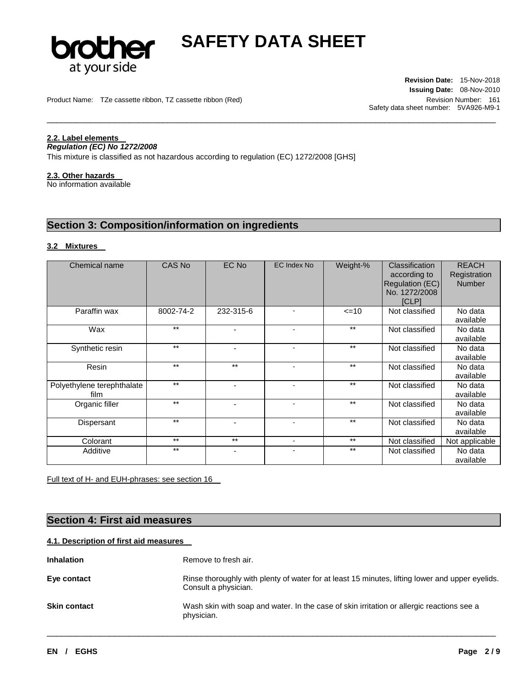

\_\_\_\_\_\_\_\_\_\_\_\_\_\_\_\_\_\_\_\_\_\_\_\_\_\_\_\_\_\_\_\_\_\_\_\_\_\_\_\_\_\_\_\_\_\_\_\_\_\_\_\_\_\_\_\_\_\_\_\_\_\_\_\_\_\_\_\_\_\_\_\_\_\_\_\_\_\_\_\_\_\_\_\_\_\_\_\_\_\_\_\_\_

Product Name: TZe cassette ribbon, TZ cassette ribbon (Red) Revision Number: 161

**Revision Date:** 15-Nov-2018 **Issuing Date:** 08-Nov-2010 Safety data sheet number: 5VA926-M9-1

## **2.2. Label elements**

#### *Regulation (EC) No 1272/2008*

This mixture is classified as not hazardous according to regulation (EC) 1272/2008 [GHS]

#### **2.3. Other hazards**

No information available

# **Section 3: Composition/information on ingredients**

### **3.2 Mixtures**

| Chemical name                      | CAS No    | EC No                    | EC Index No              | Weight-% | Classification<br>according to<br>Regulation (EC)<br>No. 1272/2008<br>[CLP] | <b>REACH</b><br>Registration<br><b>Number</b> |
|------------------------------------|-----------|--------------------------|--------------------------|----------|-----------------------------------------------------------------------------|-----------------------------------------------|
| Paraffin wax                       | 8002-74-2 | 232-315-6                |                          | $=10$    | Not classified                                                              | No data<br>available                          |
| Wax                                | $***$     | $\overline{\phantom{0}}$ |                          | $***$    | Not classified                                                              | No data<br>available                          |
| Synthetic resin                    | $**$      | ۰                        | $\overline{\phantom{a}}$ | $***$    | Not classified                                                              | No data<br>available                          |
| Resin                              | $**$      | $***$                    | ٠                        | $***$    | Not classified                                                              | No data<br>available                          |
| Polyethylene terephthalate<br>film | $**$      |                          | $\blacksquare$           | $***$    | Not classified                                                              | No data<br>available                          |
| Organic filler                     | $**$      | ٠                        | $\blacksquare$           | $***$    | Not classified                                                              | No data<br>available                          |
| Dispersant                         | $***$     |                          |                          | $***$    | Not classified                                                              | No data<br>available                          |
| Colorant                           | $***$     | $***$                    | $\overline{\phantom{a}}$ | $***$    | Not classified                                                              | Not applicable                                |
| Additive                           | $***$     |                          |                          | $***$    | Not classified                                                              | No data<br>available                          |

Full text of H- and EUH-phrases: see section 16

## **Section 4: First aid measures**

### **4.1. Description of first aid measures**

| <b>Inhalation</b>   | Remove to fresh air.                                                                                                    |
|---------------------|-------------------------------------------------------------------------------------------------------------------------|
| Eye contact         | Rinse thoroughly with plenty of water for at least 15 minutes, lifting lower and upper eyelids.<br>Consult a physician. |
| <b>Skin contact</b> | Wash skin with soap and water. In the case of skin irritation or allergic reactions see a<br>physician.                 |

\_\_\_\_\_\_\_\_\_\_\_\_\_\_\_\_\_\_\_\_\_\_\_\_\_\_\_\_\_\_\_\_\_\_\_\_\_\_\_\_\_\_\_\_\_\_\_\_\_\_\_\_\_\_\_\_\_\_\_\_\_\_\_\_\_\_\_\_\_\_\_\_\_\_\_\_\_\_\_\_\_\_\_\_\_\_\_\_\_\_\_\_\_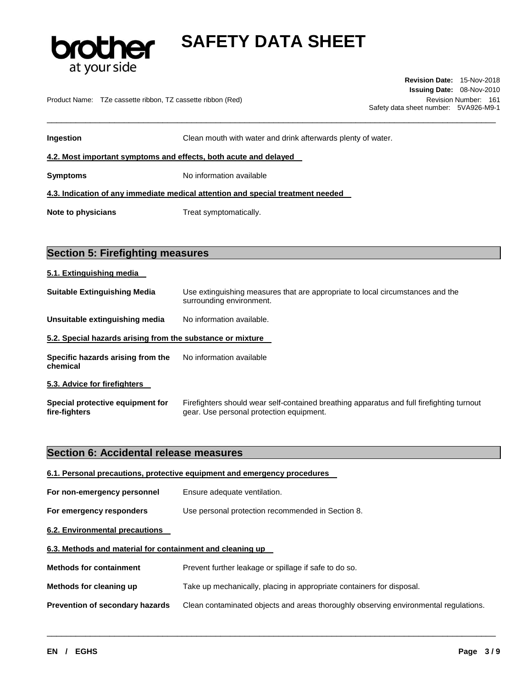

Product Name: TZe cassette ribbon, TZ cassette ribbon (Red) Revision Number: 161

**Revision Date:** 15-Nov-2018 **Issuing Date:** 08-Nov-2010 Safety data sheet number: 5VA926-M9-1

| Ingestion                                                                       | Clean mouth with water and drink afterwards plenty of water. |  |
|---------------------------------------------------------------------------------|--------------------------------------------------------------|--|
| 4.2. Most important symptoms and effects, both acute and delayed                |                                                              |  |
| Symptoms                                                                        | No information available                                     |  |
| 4.3. Indication of any immediate medical attention and special treatment needed |                                                              |  |
| Note to physicians                                                              | Treat symptomatically.                                       |  |

\_\_\_\_\_\_\_\_\_\_\_\_\_\_\_\_\_\_\_\_\_\_\_\_\_\_\_\_\_\_\_\_\_\_\_\_\_\_\_\_\_\_\_\_\_\_\_\_\_\_\_\_\_\_\_\_\_\_\_\_\_\_\_\_\_\_\_\_\_\_\_\_\_\_\_\_\_\_\_\_\_\_\_\_\_\_\_\_\_\_\_\_\_

# **Section 5: Firefighting measures**

| 5.1. Extinguishing media                                   |                                                                                                                                       |  |  |
|------------------------------------------------------------|---------------------------------------------------------------------------------------------------------------------------------------|--|--|
| <b>Suitable Extinguishing Media</b>                        | Use extinguishing measures that are appropriate to local circumstances and the<br>surrounding environment.                            |  |  |
| Unsuitable extinguishing media                             | No information available.                                                                                                             |  |  |
| 5.2. Special hazards arising from the substance or mixture |                                                                                                                                       |  |  |
| Specific hazards arising from the<br>chemical              | No information available                                                                                                              |  |  |
| 5.3. Advice for firefighters                               |                                                                                                                                       |  |  |
| Special protective equipment for<br>fire-fighters          | Firefighters should wear self-contained breathing apparatus and full firefighting turnout<br>gear. Use personal protection equipment. |  |  |

## **Section 6: Accidental release measures**

|                                                           | 6.1. Personal precautions, protective equipment and emergency procedures             |
|-----------------------------------------------------------|--------------------------------------------------------------------------------------|
| For non-emergency personnel                               | Ensure adequate ventilation.                                                         |
| For emergency responders                                  | Use personal protection recommended in Section 8.                                    |
| 6.2. Environmental precautions                            |                                                                                      |
| 6.3. Methods and material for containment and cleaning up |                                                                                      |
| <b>Methods for containment</b>                            | Prevent further leakage or spillage if safe to do so.                                |
| Methods for cleaning up                                   | Take up mechanically, placing in appropriate containers for disposal.                |
| Prevention of secondary hazards                           | Clean contaminated objects and areas thoroughly observing environmental regulations. |

\_\_\_\_\_\_\_\_\_\_\_\_\_\_\_\_\_\_\_\_\_\_\_\_\_\_\_\_\_\_\_\_\_\_\_\_\_\_\_\_\_\_\_\_\_\_\_\_\_\_\_\_\_\_\_\_\_\_\_\_\_\_\_\_\_\_\_\_\_\_\_\_\_\_\_\_\_\_\_\_\_\_\_\_\_\_\_\_\_\_\_\_\_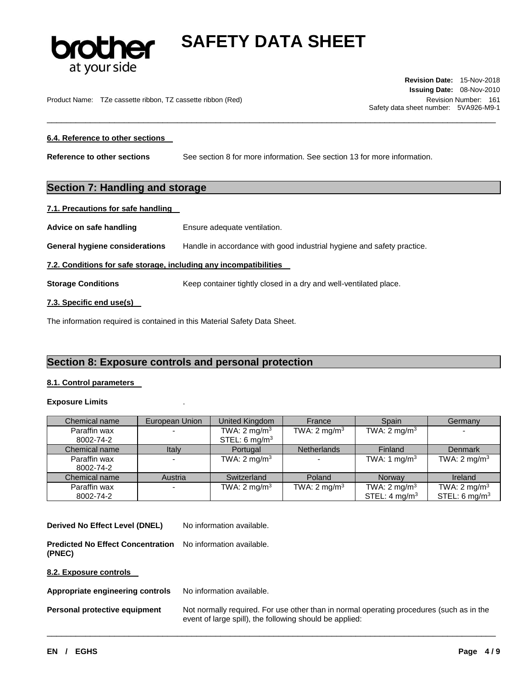

\_\_\_\_\_\_\_\_\_\_\_\_\_\_\_\_\_\_\_\_\_\_\_\_\_\_\_\_\_\_\_\_\_\_\_\_\_\_\_\_\_\_\_\_\_\_\_\_\_\_\_\_\_\_\_\_\_\_\_\_\_\_\_\_\_\_\_\_\_\_\_\_\_\_\_\_\_\_\_\_\_\_\_\_\_\_\_\_\_\_\_\_\_

Product Name: TZe cassette ribbon, TZ cassette ribbon (Red) Number: 161

**Revision Date:** 15-Nov-2018 **Issuing Date:** 08-Nov-2010 Safety data sheet number: 5VA926-M9-1

#### **6.4. Reference to other sections**

**Reference to other sections** See section 8 for more information. See section 13 for more information.

## **Section 7: Handling and storage**

#### **7.1. Precautions for safe handling**

Advice on safe handling **Ensure adequate ventilation**.

**General hygiene considerations** Handle in accordance with good industrial hygiene and safety practice.

#### **7.2. Conditions for safe storage, including any incompatibilities**

**Storage Conditions Keep container tightly closed in a dry and well-ventilated place.** 

#### **7.3. Specific end use(s)**

The information required is contained in this Material Safety Data Sheet.

## **Section 8: Exposure controls and personal protection**

#### **8.1. Control parameters**

#### **Exposure Limits** .

| Chemical name | European Union | United Kingdom          | France                  | Spain                    | Germany                  |
|---------------|----------------|-------------------------|-------------------------|--------------------------|--------------------------|
| Paraffin wax  |                | TWA: $2 \text{ mg/m}^3$ | TWA: $2 \text{ mg/m}^3$ | TWA: $2 \text{ mg/m}^3$  |                          |
| 8002-74-2     |                | STEL: 6 $mg/m3$         |                         |                          |                          |
| Chemical name | Italy          | Portugal                | <b>Netherlands</b>      | Finland                  | Denmark                  |
| Paraffin wax  |                | TWA: $2 \text{ mg/m}^3$ |                         | TWA: 1 mg/m <sup>3</sup> | TWA: $2 \text{ mg/m}^3$  |
| 8002-74-2     |                |                         |                         |                          |                          |
| Chemical name | Austria        | Switzerland             | Poland                  | Norway                   | Ireland                  |
| Paraffin wax  |                | TWA: $2 \text{ mg/m}^3$ | TWA: $2 \text{ mg/m}^3$ | TWA: $2 \text{ mg/m}^3$  | TWA: $2 \text{ mg/m}^3$  |
| 8002-74-2     |                |                         |                         | STEL: $4 \text{ mg/m}^3$ | STEL: $6 \text{ mg/m}^3$ |

\_\_\_\_\_\_\_\_\_\_\_\_\_\_\_\_\_\_\_\_\_\_\_\_\_\_\_\_\_\_\_\_\_\_\_\_\_\_\_\_\_\_\_\_\_\_\_\_\_\_\_\_\_\_\_\_\_\_\_\_\_\_\_\_\_\_\_\_\_\_\_\_\_\_\_\_\_\_\_\_\_\_\_\_\_\_\_\_\_\_\_\_\_

**Derived No Effect Level (DNEL)** No information available.

**Predicted No Effect Concentration**  No information available. **(PNEC)** 

**8.2. Exposure controls** 

Appropriate engineering controls No information available.

**Personal protective equipment** Not normally required. For use other than in normal operating procedures (such as in the event of large spill), the following should be applied: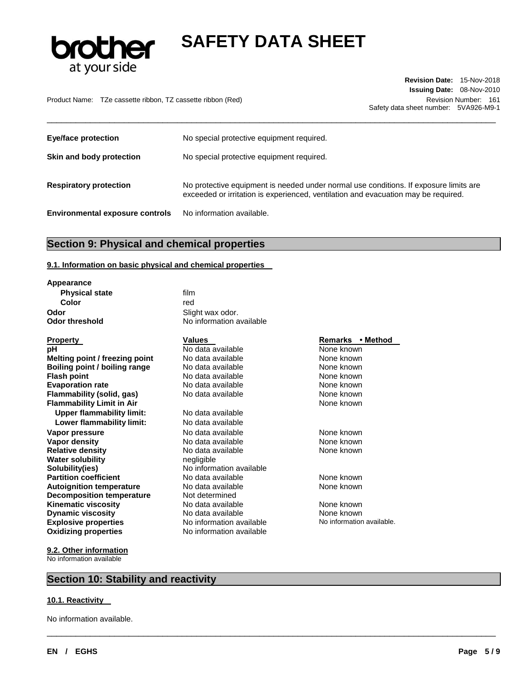

Product Name: TZe cassette ribbon, TZ cassette ribbon (Red) Revision Number: 161

**Revision Date:** 15-Nov-2018 **Issuing Date:** 08-Nov-2010 Safety data sheet number: 5VA926-M9-1

| <b>Eye/face protection</b>             | No special protective equipment required.                                                                                                                                   |
|----------------------------------------|-----------------------------------------------------------------------------------------------------------------------------------------------------------------------------|
| Skin and body protection               | No special protective equipment required.                                                                                                                                   |
| <b>Respiratory protection</b>          | No protective equipment is needed under normal use conditions. If exposure limits are<br>exceeded or irritation is experienced, ventilation and evacuation may be required. |
| <b>Environmental exposure controls</b> | No information available.                                                                                                                                                   |

\_\_\_\_\_\_\_\_\_\_\_\_\_\_\_\_\_\_\_\_\_\_\_\_\_\_\_\_\_\_\_\_\_\_\_\_\_\_\_\_\_\_\_\_\_\_\_\_\_\_\_\_\_\_\_\_\_\_\_\_\_\_\_\_\_\_\_\_\_\_\_\_\_\_\_\_\_\_\_\_\_\_\_\_\_\_\_\_\_\_\_\_\_

\_\_\_\_\_\_\_\_\_\_\_\_\_\_\_\_\_\_\_\_\_\_\_\_\_\_\_\_\_\_\_\_\_\_\_\_\_\_\_\_\_\_\_\_\_\_\_\_\_\_\_\_\_\_\_\_\_\_\_\_\_\_\_\_\_\_\_\_\_\_\_\_\_\_\_\_\_\_\_\_\_\_\_\_\_\_\_\_\_\_\_\_\_

# **Section 9: Physical and chemical properties**

#### **9.1. Information on basic physical and chemical properties**

| Appearance                       |                          |                           |
|----------------------------------|--------------------------|---------------------------|
| <b>Physical state</b>            | film                     |                           |
| Color                            | red                      |                           |
| Odor                             | Slight wax odor.         |                           |
| <b>Odor threshold</b>            | No information available |                           |
| <b>Property</b>                  | <b>Values</b>            | Remarks • Method          |
| рH                               | No data available        | None known                |
| Melting point / freezing point   | No data available        | None known                |
| Boiling point / boiling range    | No data available        | None known                |
| <b>Flash point</b>               | No data available        | None known                |
| <b>Evaporation rate</b>          | No data available        | None known                |
| Flammability (solid, gas)        | No data available        | None known                |
| <b>Flammability Limit in Air</b> |                          | None known                |
| <b>Upper flammability limit:</b> | No data available        |                           |
| Lower flammability limit:        | No data available        |                           |
| Vapor pressure                   | No data available        | None known                |
| Vapor density                    | No data available        | None known                |
| <b>Relative density</b>          | No data available        | None known                |
| <b>Water solubility</b>          | negligible               |                           |
| Solubility(ies)                  | No information available |                           |
| <b>Partition coefficient</b>     | No data available        | None known                |
| <b>Autoignition temperature</b>  | No data available        | None known                |
| <b>Decomposition temperature</b> | Not determined           |                           |
| <b>Kinematic viscosity</b>       | No data available        | None known                |
| <b>Dynamic viscosity</b>         | No data available        | None known                |
| <b>Explosive properties</b>      | No information available | No information available. |
| <b>Oxidizing properties</b>      | No information available |                           |

**9.2. Other information** No information available

## **Section 10: Stability and reactivity**

#### **10.1. Reactivity**

No information available.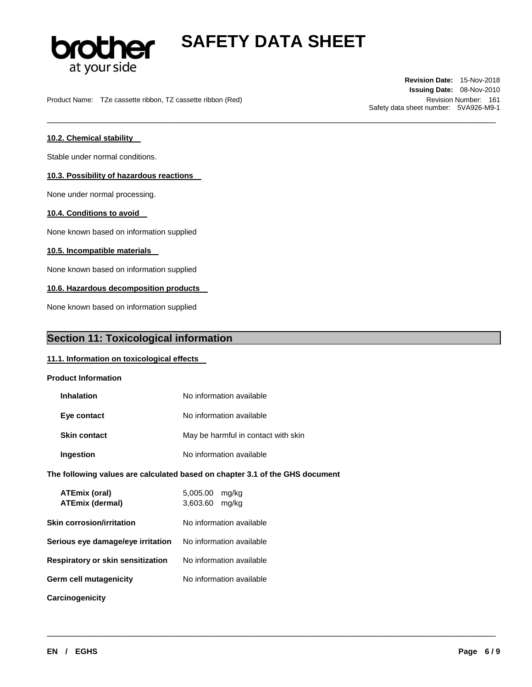

\_\_\_\_\_\_\_\_\_\_\_\_\_\_\_\_\_\_\_\_\_\_\_\_\_\_\_\_\_\_\_\_\_\_\_\_\_\_\_\_\_\_\_\_\_\_\_\_\_\_\_\_\_\_\_\_\_\_\_\_\_\_\_\_\_\_\_\_\_\_\_\_\_\_\_\_\_\_\_\_\_\_\_\_\_\_\_\_\_\_\_\_\_

\_\_\_\_\_\_\_\_\_\_\_\_\_\_\_\_\_\_\_\_\_\_\_\_\_\_\_\_\_\_\_\_\_\_\_\_\_\_\_\_\_\_\_\_\_\_\_\_\_\_\_\_\_\_\_\_\_\_\_\_\_\_\_\_\_\_\_\_\_\_\_\_\_\_\_\_\_\_\_\_\_\_\_\_\_\_\_\_\_\_\_\_\_

Product Name: TZe cassette ribbon, TZ cassette ribbon (Red) Revision Number: 161

**Revision Date:** 15-Nov-2018 **Issuing Date:** 08-Nov-2010 Safety data sheet number: 5VA926-M9-1

### **10.2. Chemical stability**

Stable under normal conditions.

#### **10.3. Possibility of hazardous reactions**

None under normal processing.

#### **10.4. Conditions to avoid**

None known based on information supplied

#### **10.5. Incompatible materials**

None known based on information supplied

#### **10.6. Hazardous decomposition products**

None known based on information supplied

## **Section 11: Toxicological information**

#### **11.1. Information on toxicological effects**

| <b>Product Information</b>              |                                                                              |
|-----------------------------------------|------------------------------------------------------------------------------|
| <b>Inhalation</b>                       | No information available                                                     |
| Eye contact                             | No information available                                                     |
| <b>Skin contact</b>                     | May be harmful in contact with skin                                          |
| Ingestion                               | No information available                                                     |
|                                         | The following values are calculated based on chapter 3.1 of the GHS document |
| ATEmix (oral)<br><b>ATEmix (dermal)</b> | 5,005.00 mg/kg<br>3,603.60<br>mg/kg                                          |
| Skin corrosion/irritation               | No information available                                                     |
| Serious eye damage/eye irritation       | No information available                                                     |
| Respiratory or skin sensitization       | No information available                                                     |
| Germ cell mutagenicity                  | No information available                                                     |
| <b>Carcinogenicity</b>                  |                                                                              |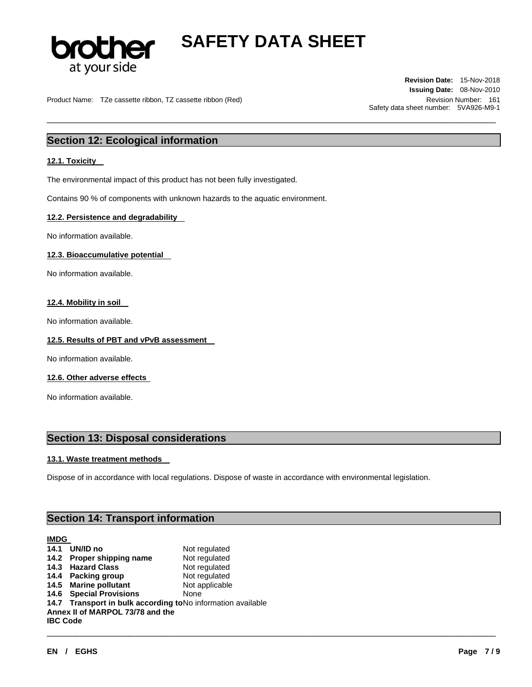

\_\_\_\_\_\_\_\_\_\_\_\_\_\_\_\_\_\_\_\_\_\_\_\_\_\_\_\_\_\_\_\_\_\_\_\_\_\_\_\_\_\_\_\_\_\_\_\_\_\_\_\_\_\_\_\_\_\_\_\_\_\_\_\_\_\_\_\_\_\_\_\_\_\_\_\_\_\_\_\_\_\_\_\_\_\_\_\_\_\_\_\_\_

Product Name: TZe cassette ribbon, TZ cassette ribbon (Red) Number: 161 Number: 161

**Revision Date:** 15-Nov-2018 **Issuing Date:** 08-Nov-2010 Safety data sheet number: 5VA926-M9-1

# **Section 12: Ecological information**

#### **12.1. Toxicity**

The environmental impact of this product has not been fully investigated.

Contains 90 % of components with unknown hazards to the aquatic environment.

#### **12.2. Persistence and degradability**

No information available.

#### **12.3. Bioaccumulative potential**

No information available.

#### **12.4. Mobility in soil**

No information available.

#### **12.5. Results of PBT and vPvB assessment**

No information available.

#### **12.6. Other adverse effects**

No information available.

## **Section 13: Disposal considerations**

#### **13.1. Waste treatment methods**

Dispose of in accordance with local regulations. Dispose of waste in accordance with environmental legislation.

# **Section 14: Transport information**

### **IMDG**

|                 | 14.1 UN/ID no                                                | Not regulated  |
|-----------------|--------------------------------------------------------------|----------------|
|                 | 14.2 Proper shipping name                                    | Not regulated  |
|                 | 14.3 Hazard Class                                            | Not regulated  |
|                 | 14.4 Packing group                                           | Not regulated  |
|                 | 14.5 Marine pollutant                                        | Not applicable |
|                 | 14.6 Special Provisions                                      | None           |
|                 | 14.7 Transport in bulk according to No information available |                |
|                 | Annex II of MARPOL 73/78 and the                             |                |
| <b>IBC Code</b> |                                                              |                |
|                 |                                                              |                |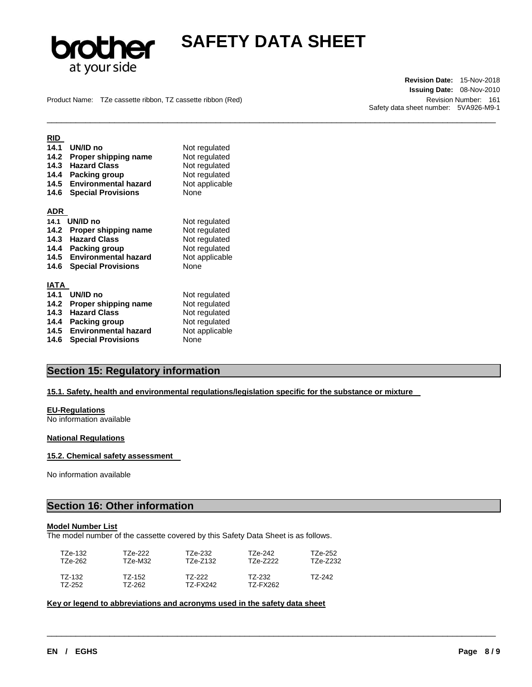

\_\_\_\_\_\_\_\_\_\_\_\_\_\_\_\_\_\_\_\_\_\_\_\_\_\_\_\_\_\_\_\_\_\_\_\_\_\_\_\_\_\_\_\_\_\_\_\_\_\_\_\_\_\_\_\_\_\_\_\_\_\_\_\_\_\_\_\_\_\_\_\_\_\_\_\_\_\_\_\_\_\_\_\_\_\_\_\_\_\_\_\_\_

Product Name: TZe cassette ribbon, TZ cassette ribbon (Red) Revision Number: 161

**Revision Date:** 15-Nov-2018 **Issuing Date:** 08-Nov-2010 Safety data sheet number: 5VA926-M9-1

| RID  |                             |                |
|------|-----------------------------|----------------|
| 14.1 | UN/ID no                    | Not regulated  |
| 14.2 | Proper shipping name        | Not regulated  |
| 14.3 | <b>Hazard Class</b>         | Not regulated  |
| 14.4 | <b>Packing group</b>        | Not regulated  |
| 14.5 | <b>Environmental hazard</b> | Not applicable |
| 14.6 | <b>Special Provisions</b>   | None           |
| ADR  |                             |                |
| 14.1 | UN/ID no                    |                |
|      |                             | Not regulated  |
| 14.2 | Proper shipping name        | Not regulated  |
| 14.3 | <b>Hazard Class</b>         | Not regulated  |
| 14.4 | Packing group               | Not regulated  |
| 14.5 | <b>Environmental hazard</b> | Not applicable |
| 14.6 | <b>Special Provisions</b>   | None           |
| IATA |                             |                |
| 14.1 | UN/ID no                    | Not regulated  |
| 14.2 | Proper shipping name        | Not regulated  |
| 14.3 | <b>Hazard Class</b>         | Not regulated  |
| 14.4 | <b>Packing group</b>        | Not regulated  |
| 14.5 | <b>Environmental hazard</b> | Not applicable |
| 14.6 | <b>Special Provisions</b>   | None           |

# **Section 15: Regulatory information**

### **15.1. Safety, health and environmental regulations/legislation specific for the substance or mixture**

#### **EU-Regulations**

No information available

#### **National Regulations**

#### **15.2. Chemical safety assessment**

No information available

## **Section 16: Other information**

### **Model Number List**

The model number of the cassette covered by this Safety Data Sheet is as follows.

| T7e-132. | T7e-222. | T7e-232  | TZe-242  | T7e-252  |
|----------|----------|----------|----------|----------|
| T7e-262. | T7e-M32  | TZe-Z132 | T7e-7222 | TZe-Z232 |
| T7-132   | TZ-152   | T7-222   | TZ-232   | T7-242   |
| T7-252   | TZ-262   | T7-FX242 | TZ-FX262 |          |

\_\_\_\_\_\_\_\_\_\_\_\_\_\_\_\_\_\_\_\_\_\_\_\_\_\_\_\_\_\_\_\_\_\_\_\_\_\_\_\_\_\_\_\_\_\_\_\_\_\_\_\_\_\_\_\_\_\_\_\_\_\_\_\_\_\_\_\_\_\_\_\_\_\_\_\_\_\_\_\_\_\_\_\_\_\_\_\_\_\_\_\_\_

**Key or legend to abbreviations and acronyms used in the safety data sheet**